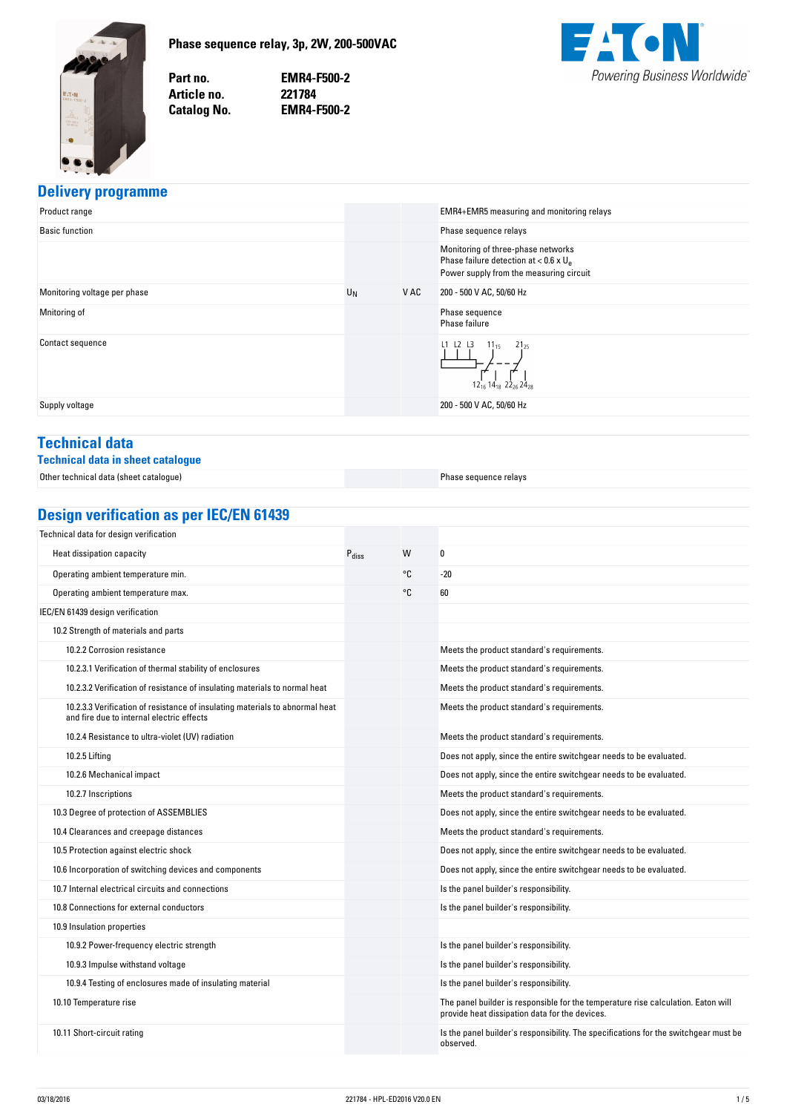<span id="page-0-0"></span>

**Phase-sequence-relay,-3p,-2W,-200-500VAC**

Part no. Article no. **Catalog No.** 

**no. EMR4-F500-2 no. 221784 No. EMR4-F500-2**



# **Delivery-programme**

| Product range                |       |      | EMR4+EMR5 measuring and monitoring relays                                                                                            |
|------------------------------|-------|------|--------------------------------------------------------------------------------------------------------------------------------------|
| <b>Basic function</b>        |       |      | Phase sequence relays                                                                                                                |
|                              |       |      | Monitoring of three-phase networks<br>Phase failure detection at < $0.6 \times U_{\rm e}$<br>Power supply from the measuring circuit |
| Monitoring voltage per phase | $U_N$ | V AC | 200 - 500 V AC, 50/60 Hz                                                                                                             |
| Mnitoring of                 |       |      | Phase sequence<br>Phase failure                                                                                                      |
| Contact sequence             |       |      | $L1$ $L2$ $L3$<br>$11_{15}$<br>$21_{25}$<br>$12_{16} 14_{18} 22_{26} 24_{28}$                                                        |
| Supply voltage               |       |      | 200 - 500 V AC, 50/60 Hz                                                                                                             |
|                              |       |      |                                                                                                                                      |

# **Technical-data**

### **Technical-data-in-sheet-catalogue**

Other technical data (sheet catalogue) [Phase sequence relays](http://ecat.moeller.net/flip-cat/?edition=HPLEN&startpage=11.25)

**Design-verification-as-per-IEC/EN-61439**

| Technical data for design verification                                                                                    |                   |    |                                                                                                                                     |
|---------------------------------------------------------------------------------------------------------------------------|-------------------|----|-------------------------------------------------------------------------------------------------------------------------------------|
| Heat dissipation capacity                                                                                                 | $P_{\text{diss}}$ | W  | 0                                                                                                                                   |
| Operating ambient temperature min.                                                                                        |                   | °C | $-20$                                                                                                                               |
| Operating ambient temperature max.                                                                                        |                   | °C | 60                                                                                                                                  |
| IEC/EN 61439 design verification                                                                                          |                   |    |                                                                                                                                     |
| 10.2 Strength of materials and parts                                                                                      |                   |    |                                                                                                                                     |
| 10.2.2 Corrosion resistance                                                                                               |                   |    | Meets the product standard's requirements.                                                                                          |
| 10.2.3.1 Verification of thermal stability of enclosures                                                                  |                   |    | Meets the product standard's requirements.                                                                                          |
| 10.2.3.2 Verification of resistance of insulating materials to normal heat                                                |                   |    | Meets the product standard's requirements.                                                                                          |
| 10.2.3.3 Verification of resistance of insulating materials to abnormal heat<br>and fire due to internal electric effects |                   |    | Meets the product standard's requirements.                                                                                          |
| 10.2.4 Resistance to ultra-violet (UV) radiation                                                                          |                   |    | Meets the product standard's requirements.                                                                                          |
| 10.2.5 Lifting                                                                                                            |                   |    | Does not apply, since the entire switchgear needs to be evaluated.                                                                  |
| 10.2.6 Mechanical impact                                                                                                  |                   |    | Does not apply, since the entire switchgear needs to be evaluated.                                                                  |
| 10.2.7 Inscriptions                                                                                                       |                   |    | Meets the product standard's requirements.                                                                                          |
| 10.3 Degree of protection of ASSEMBLIES                                                                                   |                   |    | Does not apply, since the entire switchgear needs to be evaluated.                                                                  |
| 10.4 Clearances and creepage distances                                                                                    |                   |    | Meets the product standard's requirements.                                                                                          |
| 10.5 Protection against electric shock                                                                                    |                   |    | Does not apply, since the entire switchgear needs to be evaluated.                                                                  |
| 10.6 Incorporation of switching devices and components                                                                    |                   |    | Does not apply, since the entire switchgear needs to be evaluated.                                                                  |
| 10.7 Internal electrical circuits and connections                                                                         |                   |    | Is the panel builder's responsibility.                                                                                              |
| 10.8 Connections for external conductors                                                                                  |                   |    | Is the panel builder's responsibility.                                                                                              |
| 10.9 Insulation properties                                                                                                |                   |    |                                                                                                                                     |
| 10.9.2 Power-frequency electric strength                                                                                  |                   |    | Is the panel builder's responsibility.                                                                                              |
| 10.9.3 Impulse withstand voltage                                                                                          |                   |    | Is the panel builder's responsibility.                                                                                              |
| 10.9.4 Testing of enclosures made of insulating material                                                                  |                   |    | Is the panel builder's responsibility.                                                                                              |
| 10.10 Temperature rise                                                                                                    |                   |    | The panel builder is responsible for the temperature rise calculation. Eaton will<br>provide heat dissipation data for the devices. |
| 10.11 Short-circuit rating                                                                                                |                   |    | Is the panel builder's responsibility. The specifications for the switchgear must be<br>observed.                                   |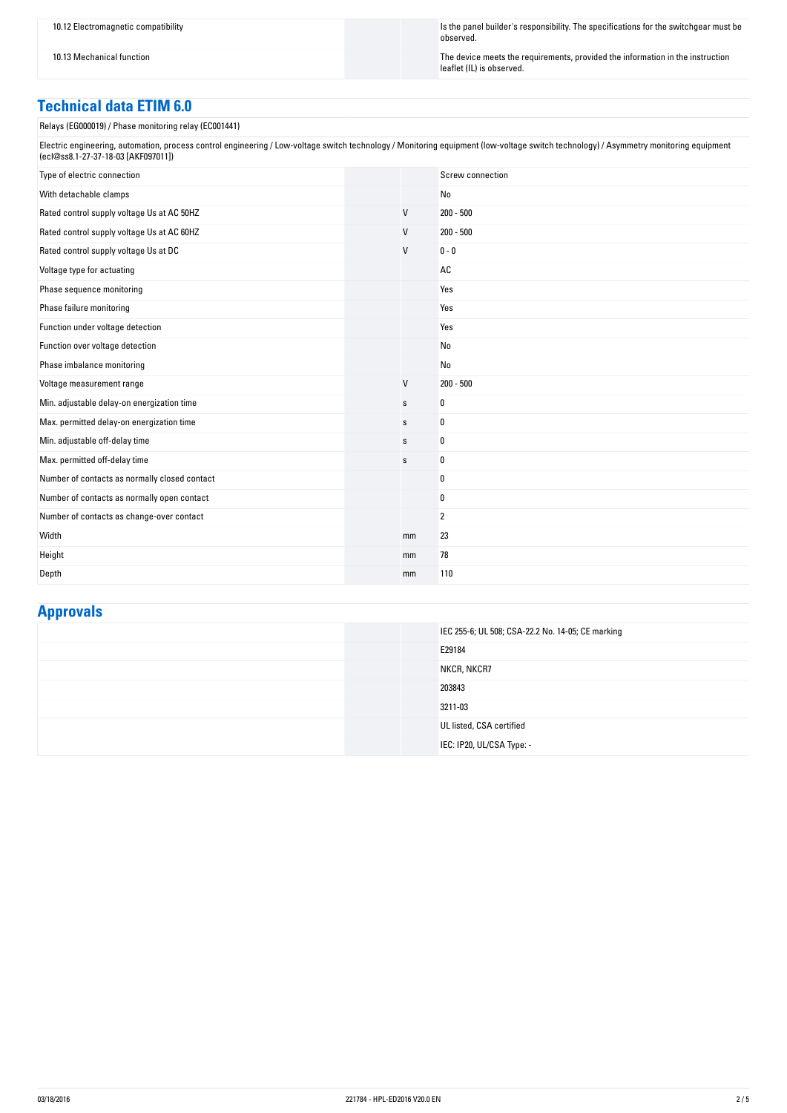10.12 Electromagnetic compatibility Is the panel builder's responsibility. The specifications for the switchgear must be observed.

10.13 Mechanical function in the instruction  $\blacksquare$ leaflet (IL) is observed.

# **Technical-data-ETIM-6.0**

Relays (EG000019) / Phase monitoring relay (EC001441)

Electric engineering, automation, process control engineering / Low-voltage switch technology / Monitoring equipment (low-voltage switch technology) / Asymmetry monitoring equipment (ecl@ss8.1-27-37-18-03 [AKF097011])

| Type of electric connection                   |             | Screw connection |
|-----------------------------------------------|-------------|------------------|
| With detachable clamps                        |             | No               |
| Rated control supply voltage Us at AC 50HZ    | V           | $200 - 500$      |
| Rated control supply voltage Us at AC 60HZ    | V           | $200 - 500$      |
| Rated control supply voltage Us at DC         | V           | $0 - 0$          |
| Voltage type for actuating                    |             | AC               |
| Phase sequence monitoring                     |             | Yes              |
| Phase failure monitoring                      |             | Yes              |
| Function under voltage detection              |             | Yes              |
| Function over voltage detection               |             | No               |
| Phase imbalance monitoring                    |             | No               |
| Voltage measurement range                     | $\vee$      | $200 - 500$      |
| Min. adjustable delay-on energization time    | $\mathbf S$ | 0                |
| Max. permitted delay-on energization time     | s           | 0                |
| Min. adjustable off-delay time                | s           | 0                |
| Max. permitted off-delay time                 | $\mathbb S$ | 0                |
| Number of contacts as normally closed contact |             | 0                |
| Number of contacts as normally open contact   |             | 0                |
| Number of contacts as change-over contact     |             | 2                |
| Width                                         | mm          | 23               |
| Height                                        | mm          | 78               |
| Depth                                         | mm          | 110              |

## **Approvals**

|  | IEC 255-6; UL 508; CSA-22.2 No. 14-05; CE marking |
|--|---------------------------------------------------|
|  | E29184                                            |
|  | NKCR, NKCR7                                       |
|  | 203843                                            |
|  | 3211-03                                           |
|  | UL listed, CSA certified                          |
|  | IEC: IP20, UL/CSA Type: -                         |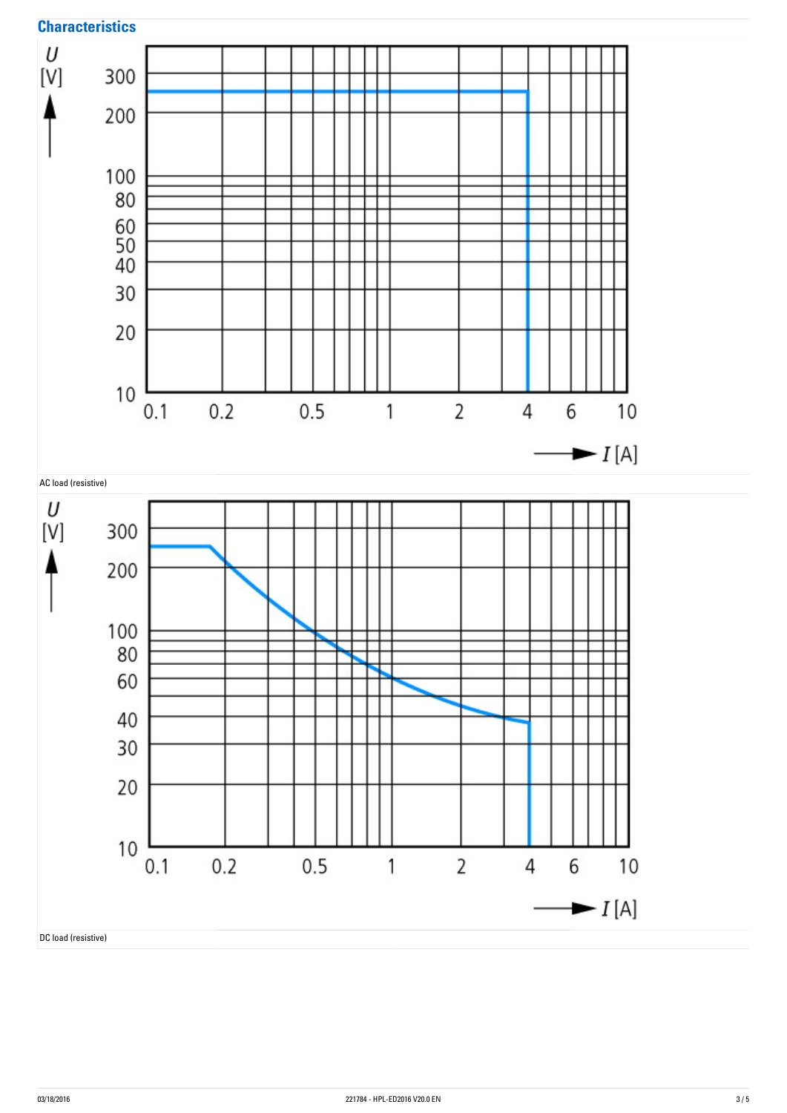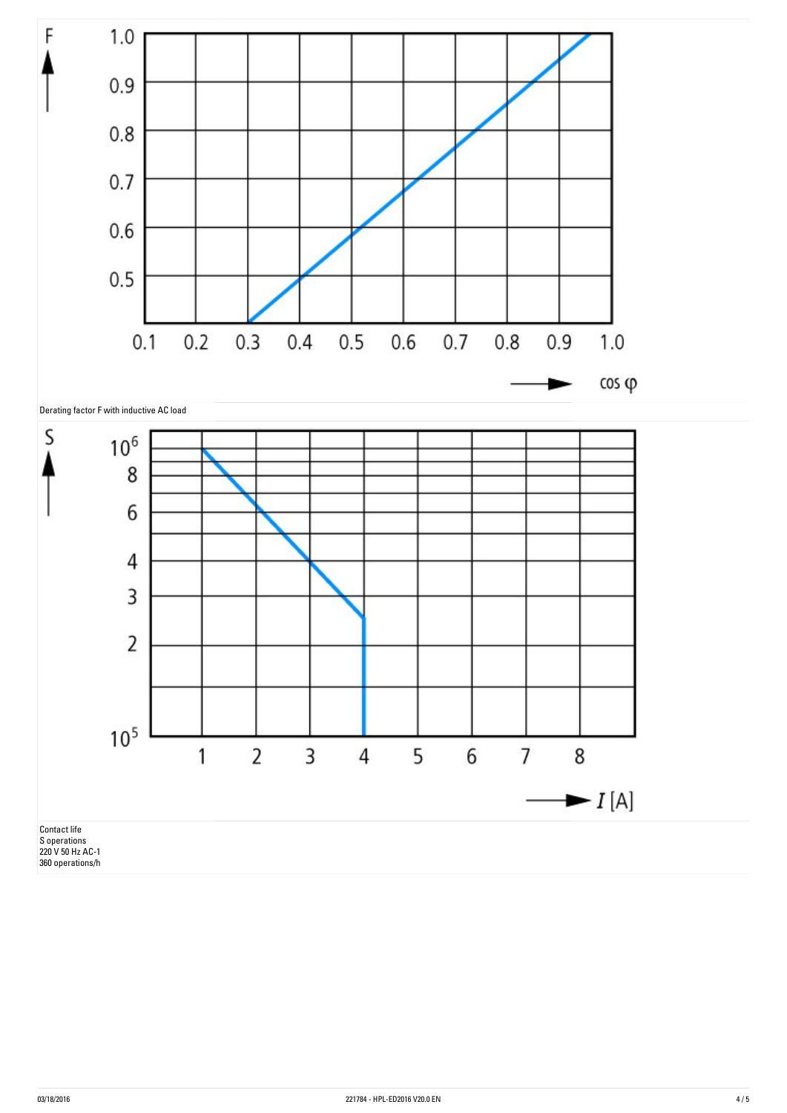